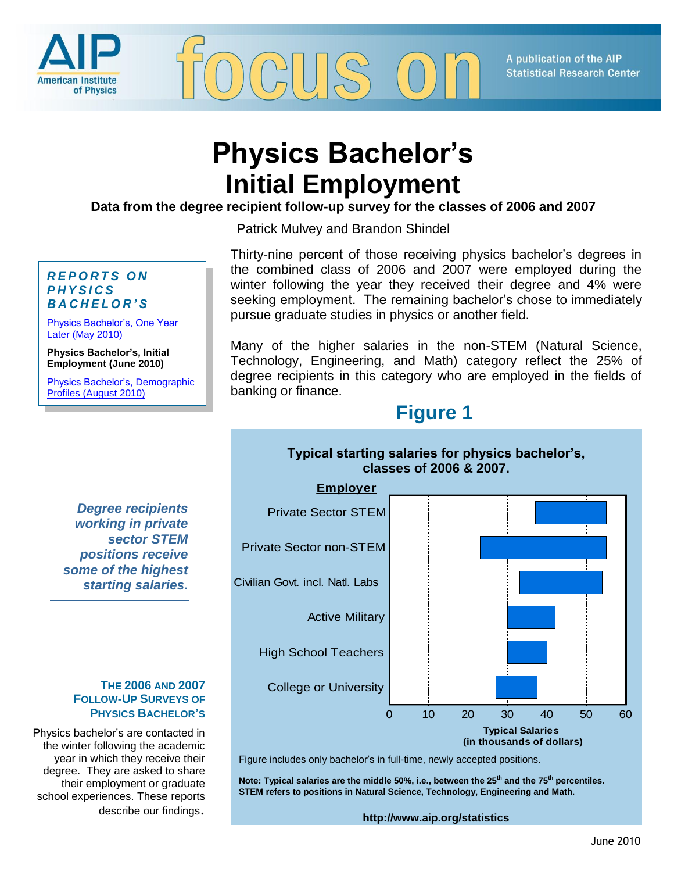

A publication of the AIP **Statistical Research Center** 

# **Physics Bachelor's Initial Employment**

**Data from the degree recipient follow-up survey for the classes of 2006 and 2007**

Patrick Mulvey and Brandon Shindel

## *R E P O R T S O N P H Y S I C S B A C H E L O R ' S*

[Physics Bachelor's, One Year](http://www.aip.org/statistics/trends/reports/bach2010.pdf)  [Later \(May 2010\)](http://www.aip.org/statistics/trends/reports/bach2010.pdf)

**Physics Bachelor's, Initial Employment (June 2010)**

[Physics Bachelor's, Demographic](http://www.aip.org/statistics/trends/reports/bachdemograph10.pdf)  [Profiles \(August 2010\)](http://www.aip.org/statistics/trends/reports/bachdemograph10.pdf)

Thirty-nine percent of those receiving physics bachelor's degrees in the combined class of 2006 and 2007 were employed during the winter following the year they received their degree and 4% were seeking employment. The remaining bachelor's chose to immediately pursue graduate studies in physics or another field.

Many of the higher salaries in the non-STEM (Natural Science, Technology, Engineering, and Math) category reflect the 25% of degree recipients in this category who are employed in the fields of banking or finance.

# **Figure 1**

**Typical starting salaries for physics bachelor's,** 

## *Degree recipients working in private sector STEM positions receive some of the highest starting salaries.*

#### **THE 2006 AND 2007 FOLLOW-UP SURVEYS OF PHYSICS BACHELOR'S**

Physics bachelor's are contacted in the winter following the academic year in which they receive their degree. They are asked to share their employment or graduate school experiences. These reports describe our findings.



Figure includes only bachelor's in full-time, newly accepted positions.<br> **Figure includes only bachelor's in full-time**, newly accepted positions.

**percentiles. STEM refers to positions in Natural Science, Technology, Note: Typical salaries are the middle 50%, i.e., between the 25th and the 75th percentiles. Engineering, and Math. STEM refers to positions in Natural Science, Technology, Engineering and Math.**

**http://www.aip.org/statistics**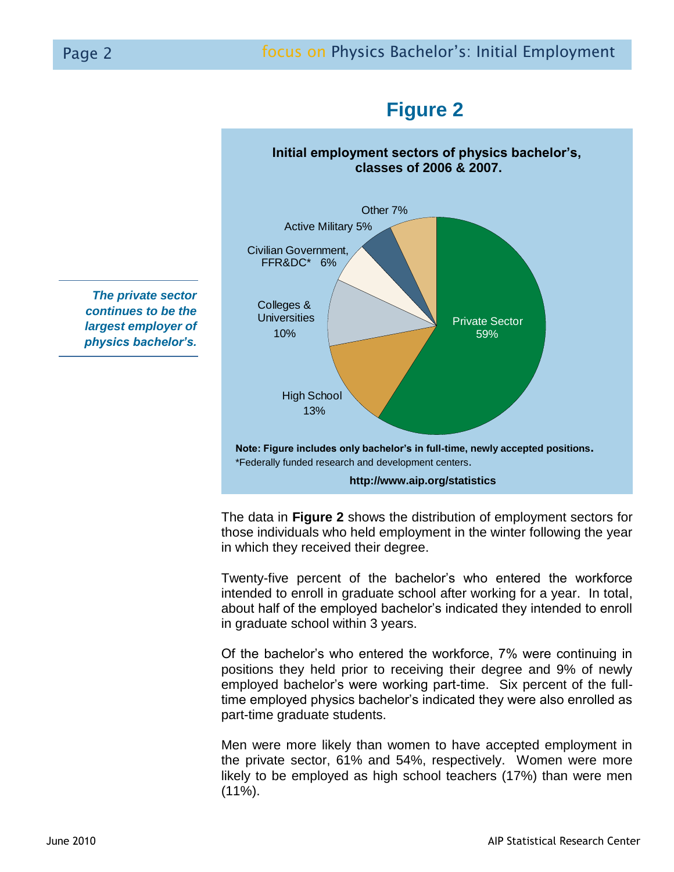

**Initial employment sectors of physics bachelor's, classes of 2006 & 2007.**

High School Active Military 5% Other 7% Private Sector 59% 13% 10% Colleges & **Universities** Civilian Government, FFR&DC\* 6% **Note: Figure includes only bachelor's in full-time, newly accepted positions.** \*Federally funded research and development centers. **http://www.aip.org/statistics**

in which they received their degree. The data in **Figure 2** shows the distribution of employment sectors for those individuals who held employment in the winter following the year

Twenty-five percent of the bachelor's who entered the workforce intended to enroll in graduate school after working for a year. In total, about half of the employed bachelor's indicated they intended to enroll in graduate school within 3 years.

Of the bachelor's who entered the workforce, 7% were continuing in positions they held prior to receiving their degree and 9% of newly employed bachelor's were working part-time. Six percent of the fulltime employed physics bachelor's indicated they were also enrolled as part-time graduate students.

Men were more likely than women to have accepted employment in the private sector, 61% and 54%, respectively. Women were more likely to be employed as high school teachers (17%) than were men  $(11\%)$ .

*The private sector continues to be the largest employer of physics bachelor's.*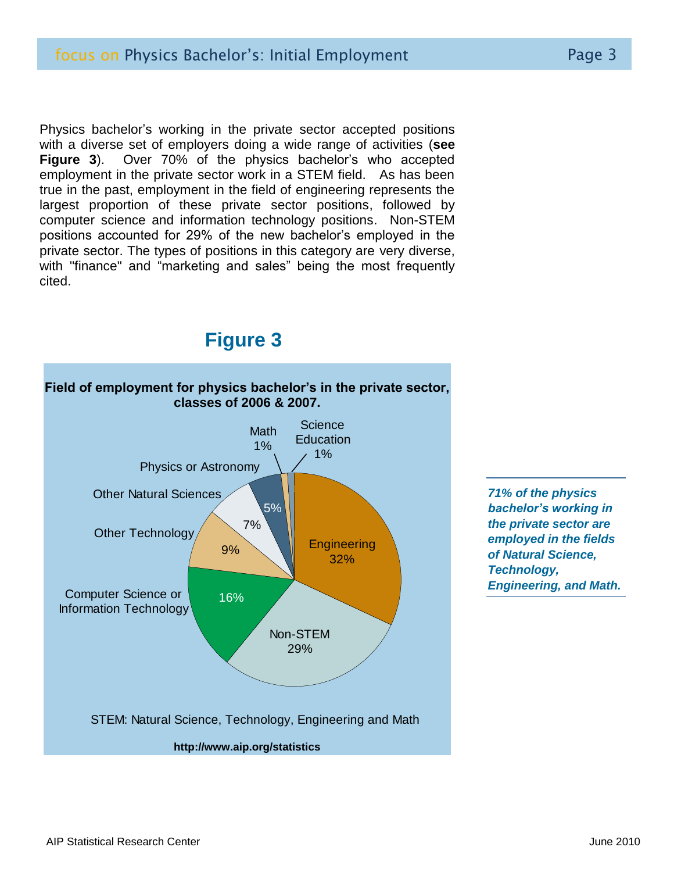Physics bachelor's working in the private sector accepted positions with a diverse set of employers doing a wide range of activities (**see Figure 3**). Over 70% of the physics bachelor's who accepted employment in the private sector work in a STEM field. As has been true in the past, employment in the field of engineering represents the largest proportion of these private sector positions, followed by computer science and information technology positions. Non-STEM positions accounted for 29% of the new bachelor's employed in the private sector. The types of positions in this category are very diverse, with "finance" and "marketing and sales" being the most frequently cited.

## **Figure 3**



*71% of the physics bachelor's working in the private sector are employed in the fields of Natural Science, Technology, Engineering, and Math.*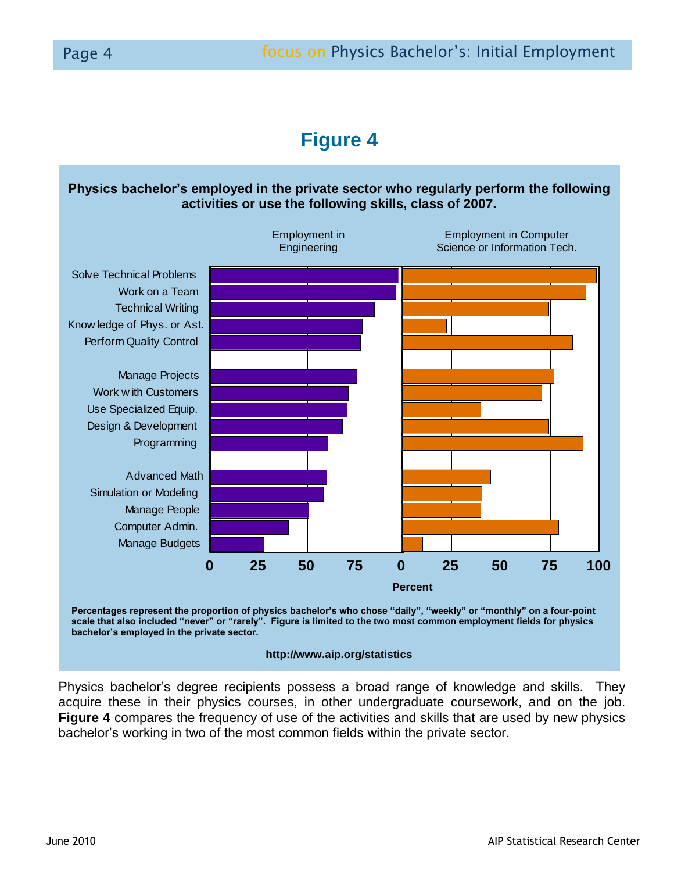# **Figure 4**

## **Physics bachelor's employed in the private sector who regularly perform the following activities or use the following skills, class of 2007.**





## **http://www.aip.org/statistics**

Physics bachelor's degree recipients possess a broad range of knowledge and skills. They acquire these in their physics courses, in other undergraduate coursework, and on the job. **Figure 4** compares the frequency of use of the activities and skills that are used by new physics bachelor's working in two of the most common fields within the private sector.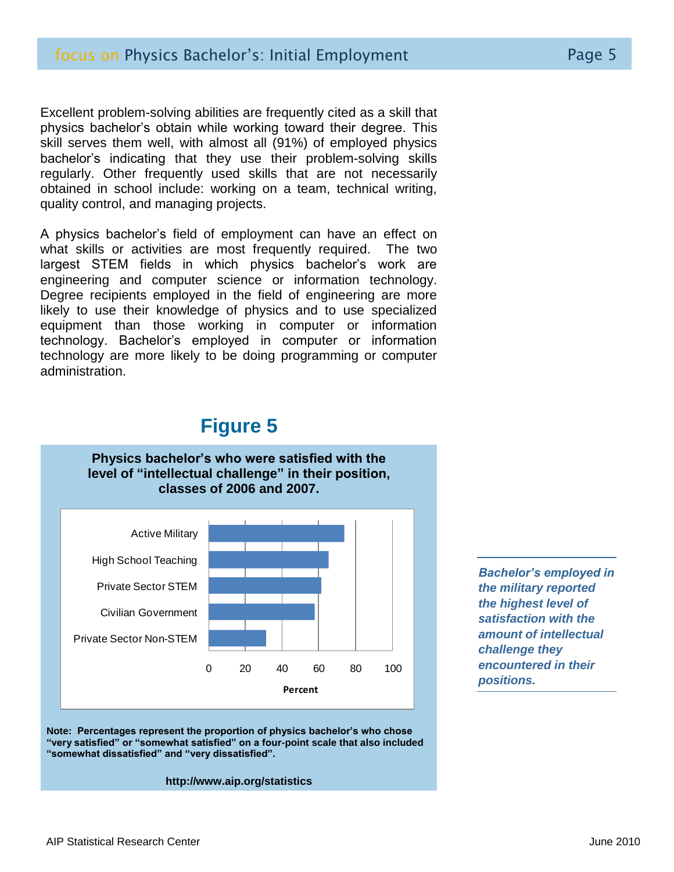Excellent problem-solving abilities are frequently cited as a skill that physics bachelor's obtain while working toward their degree. This skill serves them well, with almost all (91%) of employed physics bachelor's indicating that they use their problem-solving skills regularly. Other frequently used skills that are not necessarily obtained in school include: working on a team, technical writing, quality control, and managing projects.

A physics bachelor's field of employment can have an effect on what skills or activities are most frequently required. The two largest STEM fields in which physics bachelor's work are engineering and computer science or information technology. Degree recipients employed in the field of engineering are more likely to use their knowledge of physics and to use specialized equipment than those working in computer or information technology. Bachelor's employed in computer or information technology are more likely to be doing programming or computer administration.

## **Figure 5**



 **Note: Percentages represent the proportion of physics bachelor's who chose "very satisfied" or "somewhat satisfied" on a four-point scale that also included "somewhat dissatisfied" and "very dissatisfied".**

**http://www.aip.org/statistics**

*Bachelor's employed in the military reported the highest level of satisfaction with the amount of intellectual challenge they encountered in their positions.*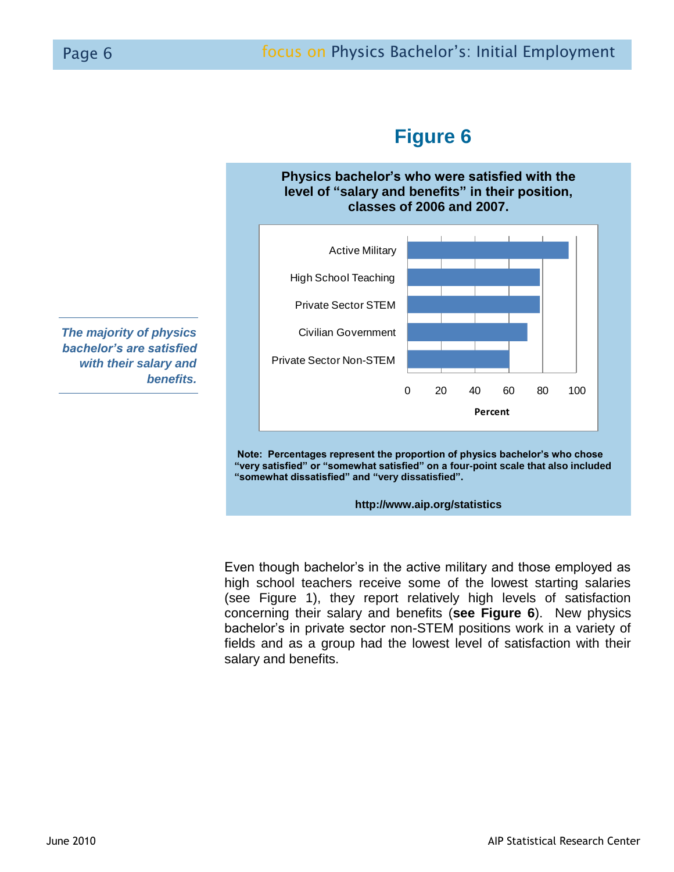

# **Figure 6**

**Physics bachelor's who were satisfied with the level of "salary and benefits" in their position,**

 **Note: Percentages represent the proportion of physics bachelor's who chose "very satisfied" or "somewhat satisfied" on a four-point scale that also included "somewhat dissatisfied" and "very dissatisfied".**

**http://www.aip.org/statistics**

Even though bachelor's in the active military and those employed as high school teachers receive some of the lowest starting salaries (see Figure 1), they report relatively high levels of satisfaction concerning their salary and benefits (**see Figure 6**). New physics bachelor's in private sector non-STEM positions work in a variety of fields and as a group had the lowest level of satisfaction with their salary and benefits.

*The majority of physics bachelor's are satisfied with their salary and benefits.*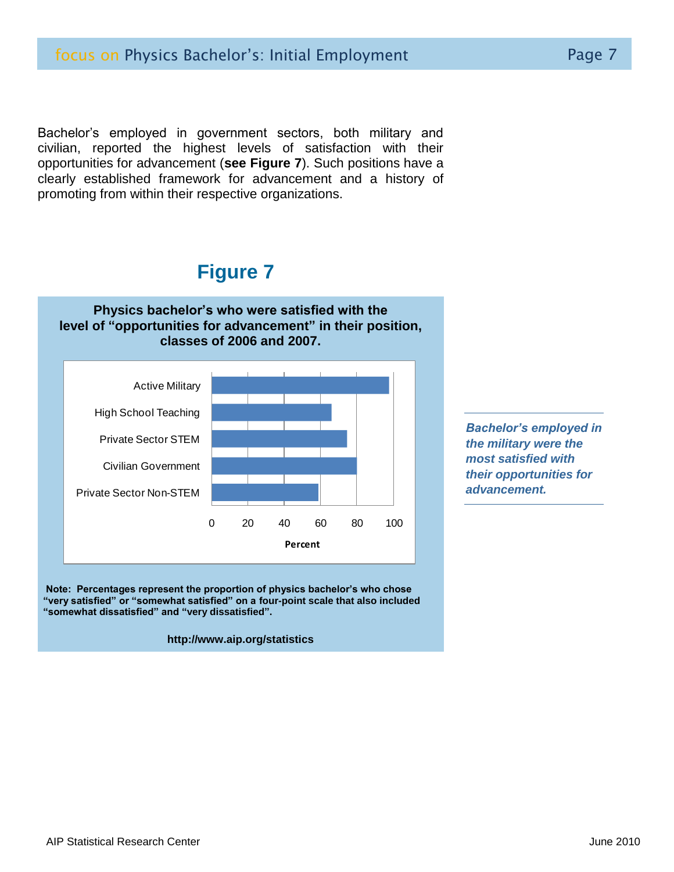Bachelor's employed in government sectors, both military and civilian, reported the highest levels of satisfaction with their opportunities for advancement (**see Figure 7**). Such positions have a clearly established framework for advancement and a history of promoting from within their respective organizations.

## **Figure 7**



 **Note: Percentages represent the proportion of physics bachelor's who chose "very satisfied" or "somewhat satisfied" on a four-point scale that also included "somewhat dissatisfied" and "very dissatisfied".**

#### **http://www.aip.org/statistics**

*Bachelor's employed in the military were the most satisfied with their opportunities for advancement.*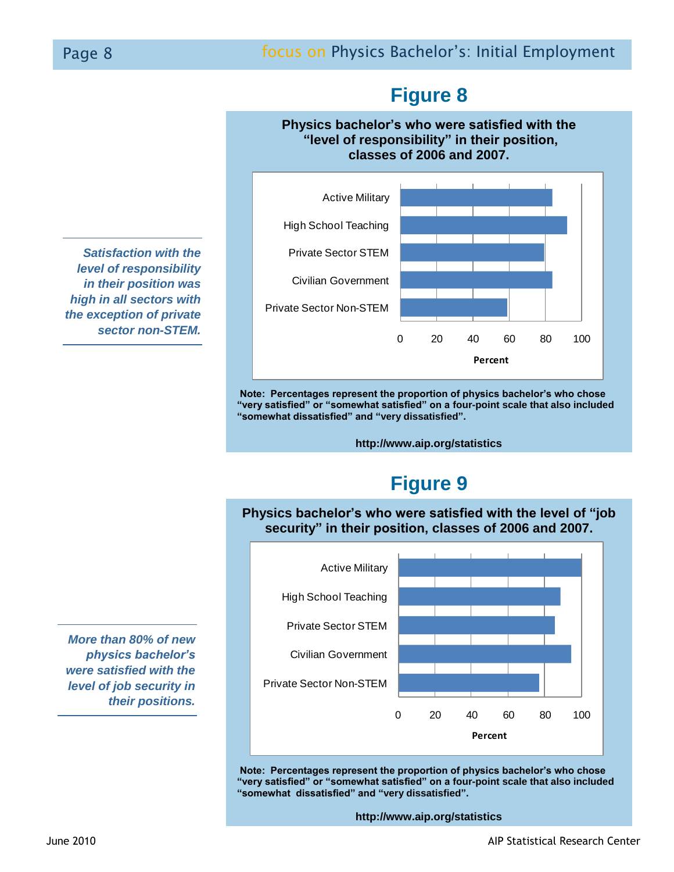# **Figure 8**

## **Physics bachelor's who were satisfied with the "level of responsibility" in their position, classes of 2006 and 2007.**

0 20 40 60 80 100 Private Sector Non-STEM Civilian Government Private Sector STEM High School Teaching Active Military **Percent**

 **Note: Percentages represent the proportion of physics bachelor's who chose "very satisfied" or "somewhat satisfied" on a four-point scale that also included "somewhat dissatisfied" and "very dissatisfied".**

**http://www.aip.org/statistics**

# **Figure 9**

**Physics bachelor's who were satisfied with the level of "job security" in their position, classes of 2006 and 2007.**



 **Note: Percentages represent the proportion of physics bachelor's who chose "very satisfied" or "somewhat satisfied" on a four-point scale that also included "somewhat dissatisfied" and "very dissatisfied".**

**http://www.aip.org/statistics**

*Satisfaction with the level of responsibility in their position was high in all sectors with the exception of private sector non-STEM.* 

*More than 80% of new physics bachelor's were satisfied with the level of job security in their positions.*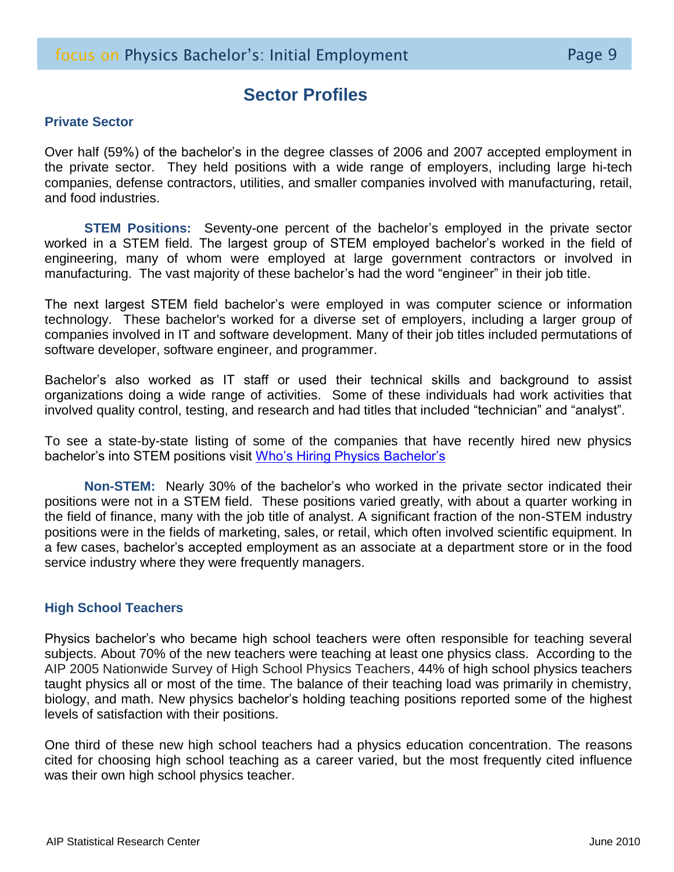## **Sector Profiles**

## **Private Sector**

Over half (59%) of the bachelor's in the degree classes of 2006 and 2007 accepted employment in the private sector. They held positions with a wide range of employers, including large hi-tech companies, defense contractors, utilities, and smaller companies involved with manufacturing, retail, and food industries.

**STEM Positions:** Seventy-one percent of the bachelor's employed in the private sector worked in a STEM field. The largest group of STEM employed bachelor's worked in the field of engineering, many of whom were employed at large government contractors or involved in manufacturing. The vast majority of these bachelor's had the word "engineer" in their job title.

The next largest STEM field bachelor's were employed in was computer science or information technology. These bachelor's worked for a diverse set of employers, including a larger group of companies involved in IT and software development. Many of their job titles included permutations of software developer, software engineer, and programmer.

Bachelor's also worked as IT staff or used their technical skills and background to assist organizations doing a wide range of activities. Some of these individuals had work activities that involved quality control, testing, and research and had titles that included "technician" and "analyst".

To see a state-by-state listing of some of the companies that have recently hired new physics bachelor's into STEM positions visit [Who's Hiring Physics Bachelor's](http://www.aip.org/statistics/trends/states/state.html)

**Non-STEM:** Nearly 30% of the bachelor's who worked in the private sector indicated their positions were not in a STEM field. These positions varied greatly, with about a quarter working in the field of finance, many with the job title of analyst. A significant fraction of the non-STEM industry positions were in the fields of marketing, sales, or retail, which often involved scientific equipment. In a few cases, bachelor's accepted employment as an associate at a department store or in the food service industry where they were frequently managers.

## **High School Teachers**

Physics bachelor's who became high school teachers were often responsible for teaching several subjects. About 70% of the new teachers were teaching at least one physics class. According to the AIP 2005 Nationwide Survey of High School Physics Teachers, 44% of high school physics teachers taught physics all or most of the time. The balance of their teaching load was primarily in chemistry, biology, and math. New physics bachelor's holding teaching positions reported some of the highest levels of satisfaction with their positions.

One third of these new high school teachers had a physics education concentration. The reasons cited for choosing high school teaching as a career varied, but the most frequently cited influence was their own high school physics teacher.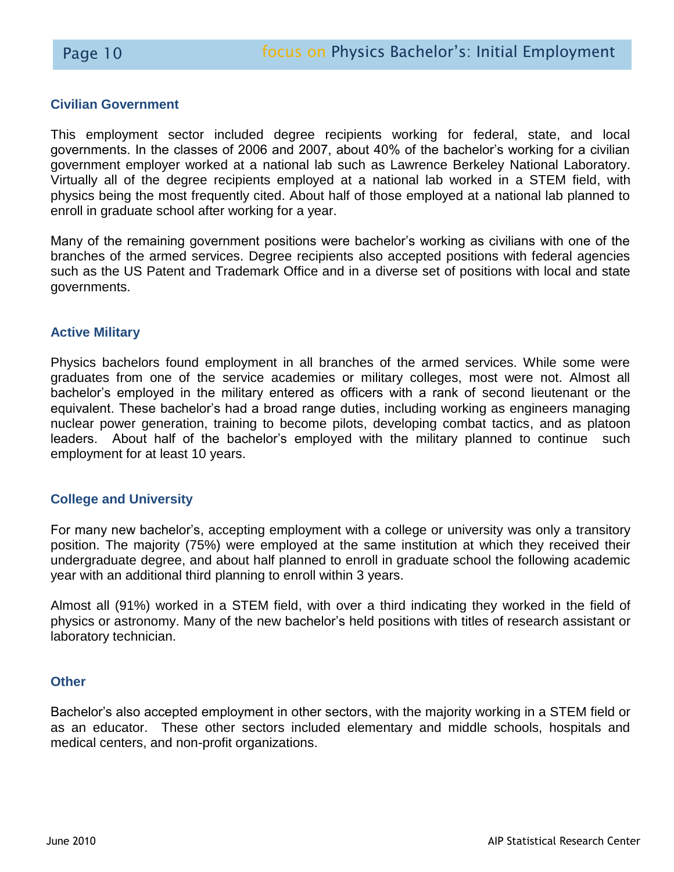## **Civilian Government**

This employment sector included degree recipients working for federal, state, and local governments. In the classes of 2006 and 2007, about 40% of the bachelor's working for a civilian government employer worked at a national lab such as Lawrence Berkeley National Laboratory. Virtually all of the degree recipients employed at a national lab worked in a STEM field, with physics being the most frequently cited. About half of those employed at a national lab planned to enroll in graduate school after working for a year.

Many of the remaining government positions were bachelor's working as civilians with one of the branches of the armed services. Degree recipients also accepted positions with federal agencies such as the US Patent and Trademark Office and in a diverse set of positions with local and state governments.

## **Active Military**

Physics bachelors found employment in all branches of the armed services. While some were graduates from one of the service academies or military colleges, most were not. Almost all bachelor's employed in the military entered as officers with a rank of second lieutenant or the equivalent. These bachelor's had a broad range duties, including working as engineers managing nuclear power generation, training to become pilots, developing combat tactics, and as platoon leaders. About half of the bachelor's employed with the military planned to continue such employment for at least 10 years.

## **College and University**

For many new bachelor's, accepting employment with a college or university was only a transitory position. The majority (75%) were employed at the same institution at which they received their undergraduate degree, and about half planned to enroll in graduate school the following academic year with an additional third planning to enroll within 3 years.

Almost all (91%) worked in a STEM field, with over a third indicating they worked in the field of physics or astronomy. Many of the new bachelor's held positions with titles of research assistant or laboratory technician.

## **Other**

Bachelor's also accepted employment in other sectors, with the majority working in a STEM field or as an educator. These other sectors included elementary and middle schools, hospitals and medical centers, and non-profit organizations.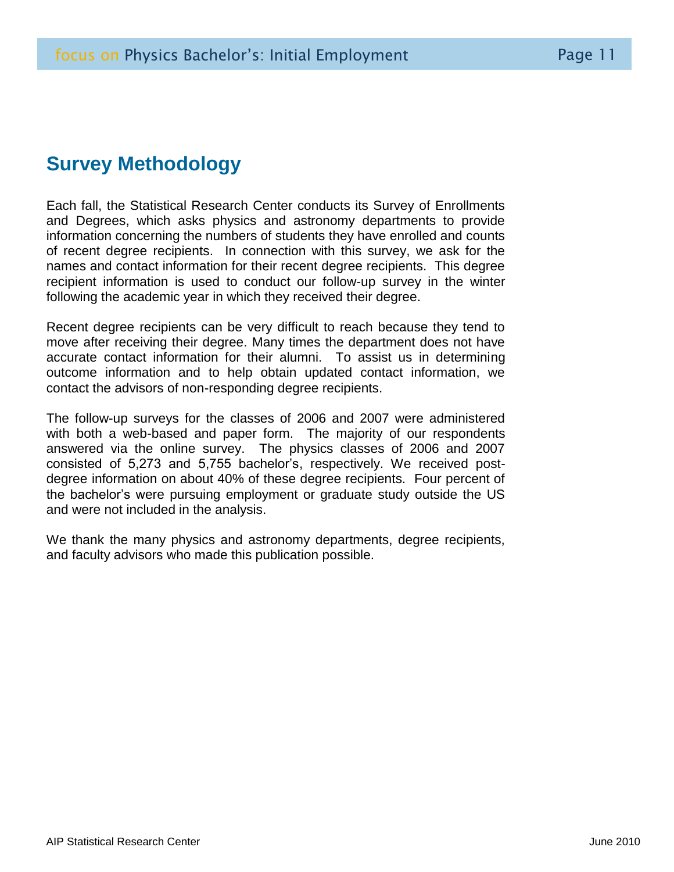# **Survey Methodology**

Each fall, the Statistical Research Center conducts its Survey of Enrollments and Degrees, which asks physics and astronomy departments to provide information concerning the numbers of students they have enrolled and counts of recent degree recipients. In connection with this survey, we ask for the names and contact information for their recent degree recipients. This degree recipient information is used to conduct our follow-up survey in the winter following the academic year in which they received their degree.

Recent degree recipients can be very difficult to reach because they tend to move after receiving their degree. Many times the department does not have accurate contact information for their alumni. To assist us in determining outcome information and to help obtain updated contact information, we contact the advisors of non-responding degree recipients.

The follow-up surveys for the classes of 2006 and 2007 were administered with both a web-based and paper form. The majority of our respondents answered via the online survey. The physics classes of 2006 and 2007 consisted of 5,273 and 5,755 bachelor's, respectively. We received postdegree information on about 40% of these degree recipients. Four percent of the bachelor's were pursuing employment or graduate study outside the US and were not included in the analysis.

We thank the many physics and astronomy departments, degree recipients, and faculty advisors who made this publication possible.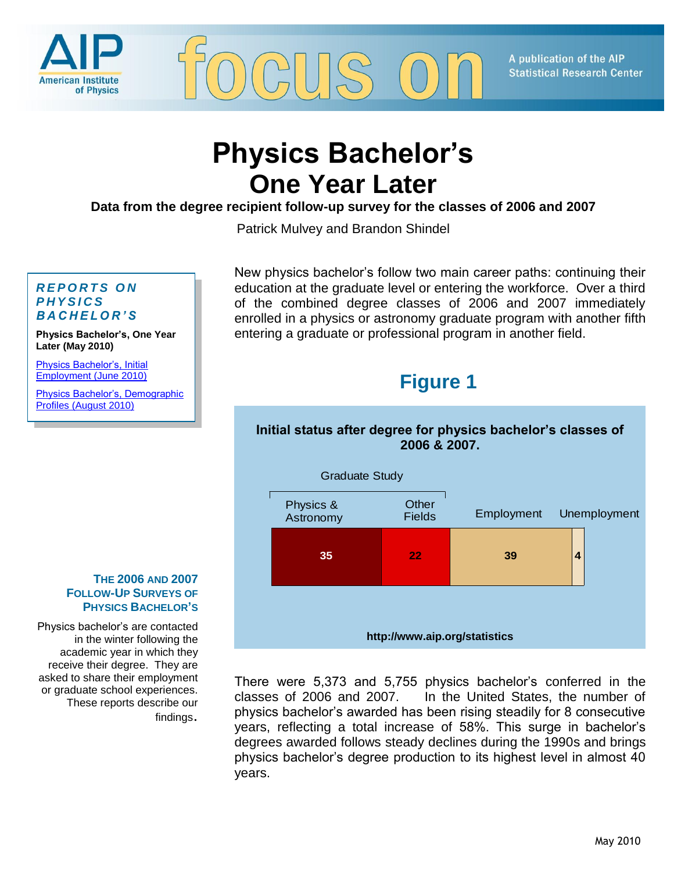

A publication of the AIP **Statistical Research Center** 

# **Physics Bachelor's One Year Later**

**Data from the degree recipient follow-up survey for the classes of 2006 and 2007**

Patrick Mulvey and Brandon Shindel

#### *R E P O R T S O N P H Y S I C S B A C H E L O R ' S*

**Physics Bachelor's, One Year Later (May 2010)**

[Physics Bachelor's, Initial](http://www.aip.org/statistics/trends/reports/emp2010.pdf)  [Employment \(June 2010\)](http://www.aip.org/statistics/trends/reports/emp2010.pdf)

[Physics Bachelor's, Demographic](http://www.aip.org/statistics/trends/reports/bachdemograph10.pdf)  [Profiles \(August 2010\)](http://www.aip.org/statistics/trends/reports/bachdemograph10.pdf)

New physics bachelor's follow two main career paths: continuing their education at the graduate level or entering the workforce. Over a third of the combined degree classes of 2006 and 2007 immediately enrolled in a physics or astronomy graduate program with another fifth entering a graduate or professional program in another field.

# **Figure 1**

## **Initial status after degree for physics bachelor's classes of 2006 & 2007.**



There were 5,373 and 5,755 physics bachelor's conferred in the classes of 2006 and 2007. In the United States, the number of physics bachelor's awarded has been rising steadily for 8 consecutive years, reflecting a total increase of 58%. This surge in bachelor's degrees awarded follows steady declines during the 1990s and brings physics bachelor's degree production to its highest level in almost 40 years.

#### **THE 2006 AND 2007 FOLLOW-UP SURVEYS OF PHYSICS BACHELOR'S**

Physics bachelor's are contacted in the winter following the academic year in which they receive their degree. They are asked to share their employment or graduate school experiences. These reports describe our findings.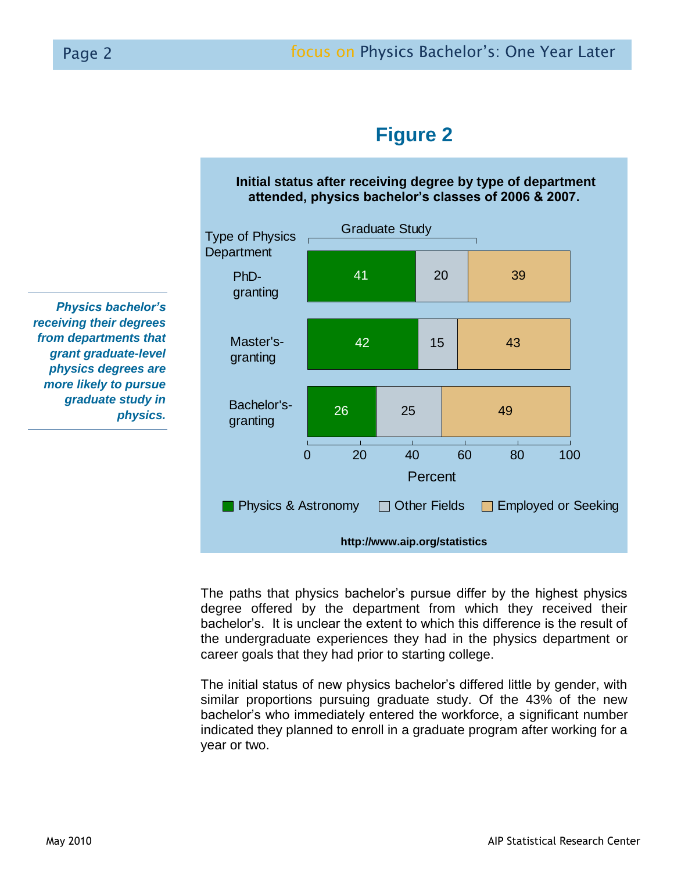



# **Figure 2**

**Initial status after receiving degree by type of department attended, physics bachelor's classes of 2006 & 2007.**

The paths that physics bachelor's pursue differ by the highest physics degree offered by the department from which they received their bachelor's. It is unclear the extent to which this difference is the result of the undergraduate experiences they had in the physics department or career goals that they had prior to starting college.

The initial status of new physics bachelor's differed little by gender, with similar proportions pursuing graduate study. Of the 43% of the new bachelor's who immediately entered the workforce, a significant number indicated they planned to enroll in a graduate program after working for a year or two.

*Physics bachelor's receiving their degrees from departments that grant graduate-level physics degrees are more likely to pursue graduate study in physics.*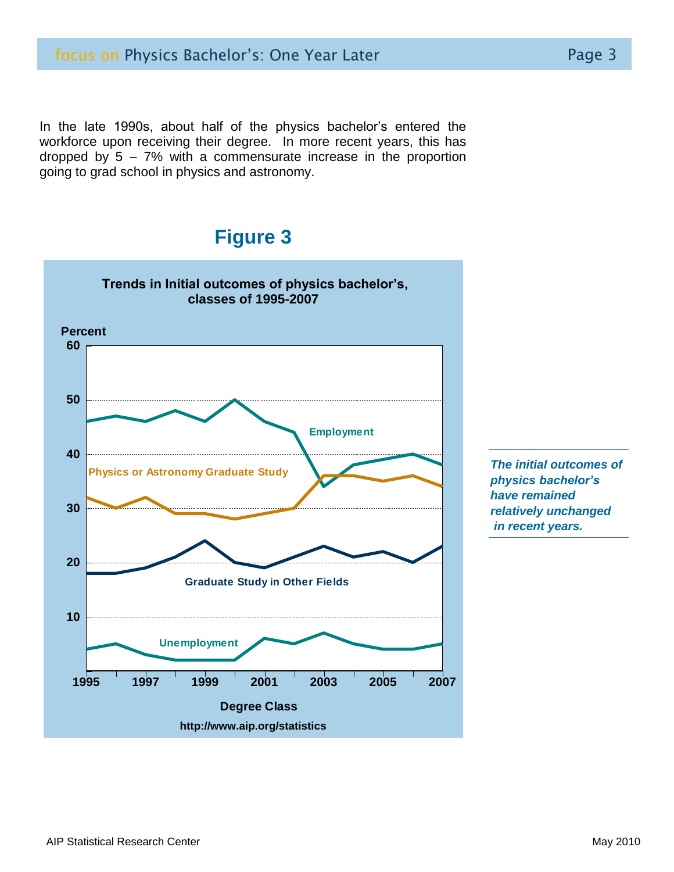In the late 1990s, about half of the physics bachelor's entered the workforce upon receiving their degree. In more recent years, this has dropped by 5 – 7% with a commensurate increase in the proportion going to grad school in physics and astronomy.

## **Figure 3**



*The initial outcomes of physics bachelor's have remained relatively unchanged in recent years.*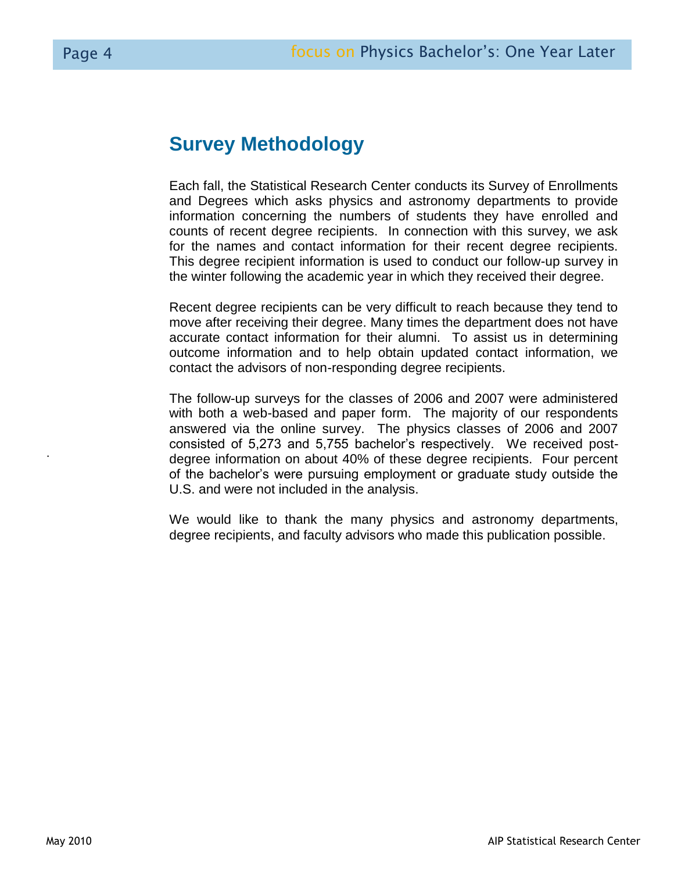# **Survey Methodology**

Each fall, the Statistical Research Center conducts its Survey of Enrollments and Degrees which asks physics and astronomy departments to provide information concerning the numbers of students they have enrolled and counts of recent degree recipients. In connection with this survey, we ask for the names and contact information for their recent degree recipients. This degree recipient information is used to conduct our follow-up survey in the winter following the academic year in which they received their degree.

Recent degree recipients can be very difficult to reach because they tend to move after receiving their degree. Many times the department does not have accurate contact information for their alumni. To assist us in determining outcome information and to help obtain updated contact information, we contact the advisors of non-responding degree recipients.

The follow-up surveys for the classes of 2006 and 2007 were administered with both a web-based and paper form. The majority of our respondents answered via the online survey. The physics classes of 2006 and 2007 consisted of 5,273 and 5,755 bachelor's respectively. We received postdegree information on about 40% of these degree recipients. Four percent of the bachelor's were pursuing employment or graduate study outside the U.S. and were not included in the analysis.

We would like to thank the many physics and astronomy departments, degree recipients, and faculty advisors who made this publication possible.

.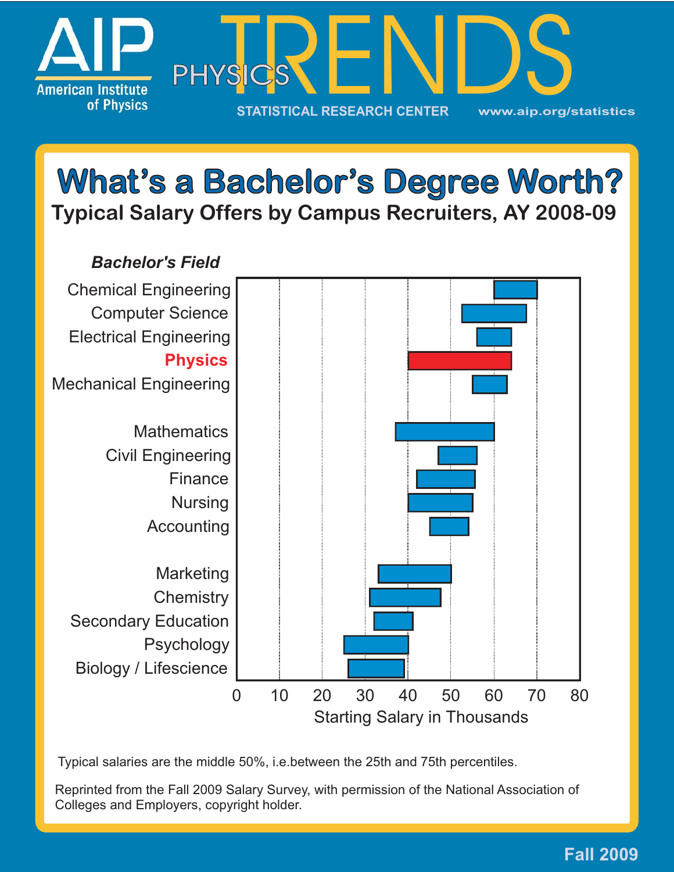

# **Which I Select Bachelor's Degree Worth 2008-09**



Typical salaries are the middle 50%, i.e.between the 25th and 75th percentiles.

Reprinted from the Fall 2009 Salary Survey, with permission of the National Association of Colleges and Employers, copyright holder.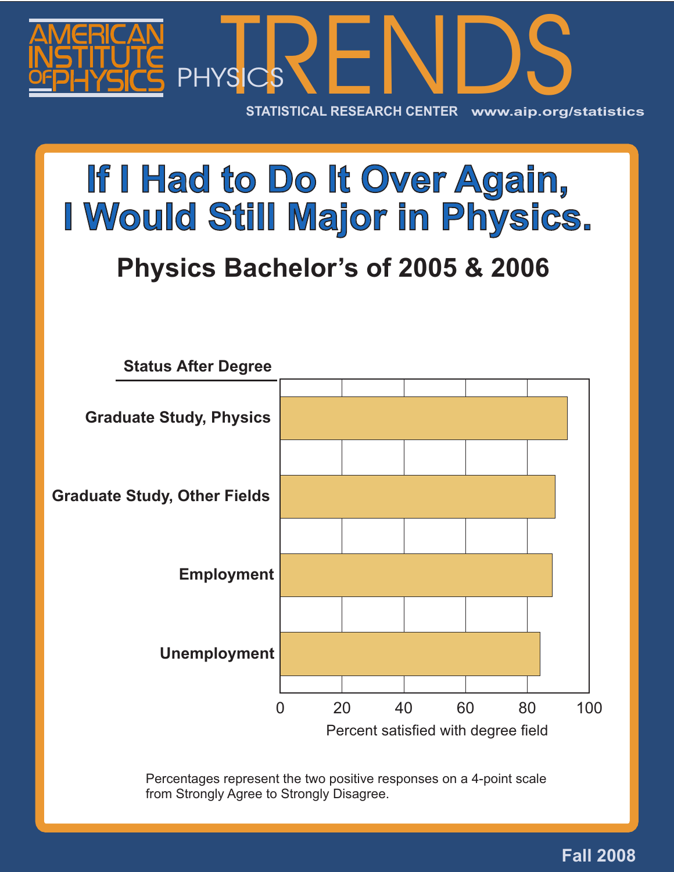

# **If I Hadden In Physics**

# **I** Brushe Beeheler's of 2005 8 2006 **Physics Bachelor's of 2005 & 2006**



Percentages represent the two positive responses on a 4-point scale from Strongly Agree to Strongly Disagree.

## **Fall 2008**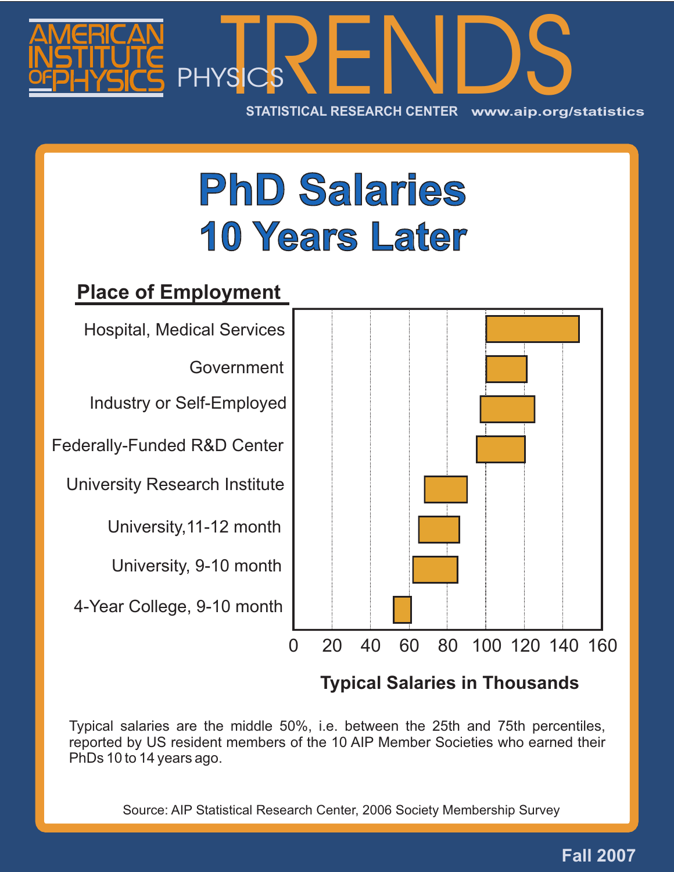

# **PhD Salaries 10 Years Later** 10 Years 20 <u>10 Years 20 10</u> **Years**

# **Place of Employment**



Government

Industry or Self-Employed

Federally-Funded R&D Center

University Research Institute

University,11-12 month

University, 9-10 month

4-Year College, 9-10 month



# **Typical Salaries in Thousands**

Typical salaries are the middle 50%, i.e. between the 25th and 75th percentiles, reported by US resident members of the 10 AIP Member Societies who earned their PhDs 10 to 14 years ago.

Source: AIP Statistical Research Center, 2006 Society Membership Survey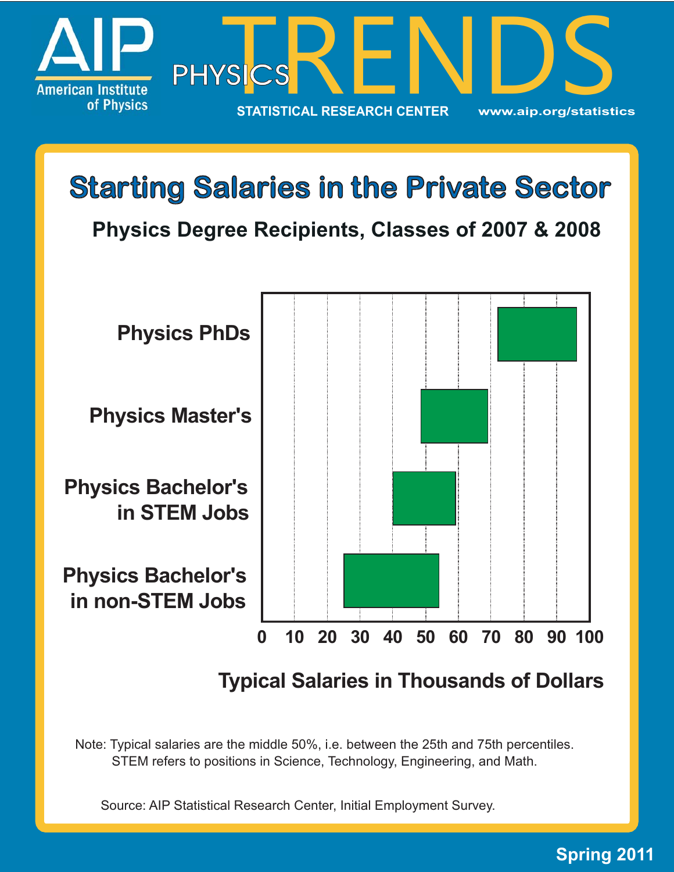

**Starting Salaries in the Private Sector Starting Salaries the Private Physics Degree Recipients, Classes of 2007 & 2008**



**Typical Salaries in Thousands of Dollars**

Note: Typical salaries are the middle 50%, i.e. between the 25th and 75th percentiles. STEM refers to positions in Science, Technology, Engineering, and Math.

Source: AIP Statistical Research Center, Initial Employment Survey.

## **Spring 2011**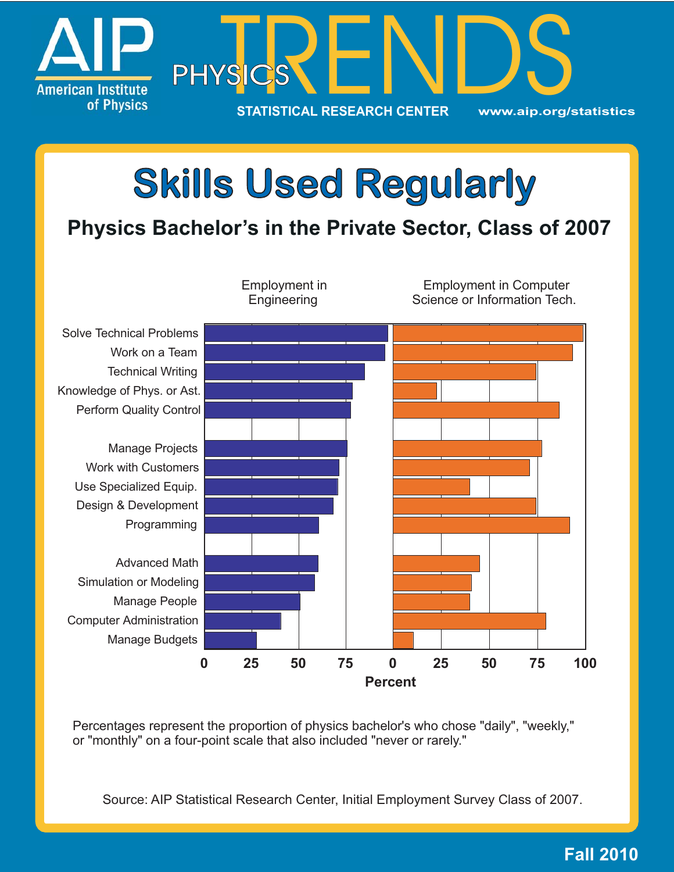

# **Skills Used Skills Users** Concerning<br> **Skills Bachelor's in the Private Sector, Class**



Percentages represent the proportion of physics bachelor's who chose "daily", "weekly," or "monthly" on a four-point scale that also included "never or rarely."

Source: AIP Statistical Research Center, Initial Employment Survey Class of 2007.

## **Fall 2010**